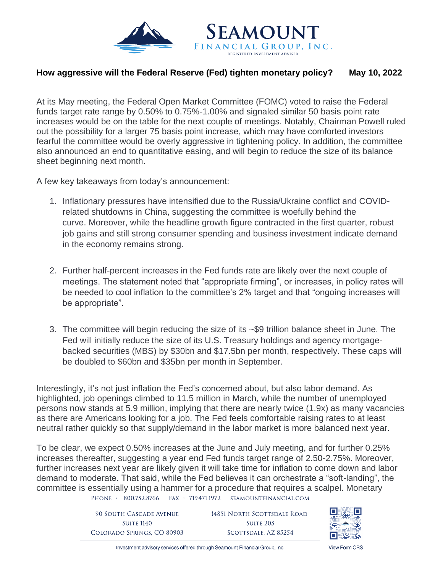

## **How aggressive will the Federal Reserve (Fed) tighten monetary policy? May 10, 2022**

At its May meeting, the Federal Open Market Committee (FOMC) voted to raise the Federal funds target rate range by 0.50% to 0.75%-1.00% and signaled similar 50 basis point rate increases would be on the table for the next couple of meetings. Notably, Chairman Powell ruled out the possibility for a larger 75 basis point increase, which may have comforted investors fearful the committee would be overly aggressive in tightening policy. In addition, the committee also announced an end to quantitative easing, and will begin to reduce the size of its balance sheet beginning next month.

A few key takeaways from today's announcement:

- 1. Inflationary pressures have intensified due to the Russia/Ukraine conflict and COVIDrelated shutdowns in China, suggesting the committee is woefully behind the curve. Moreover, while the headline growth figure contracted in the first quarter, robust job gains and still strong consumer spending and business investment indicate demand in the economy remains strong.
- 2. Further half-percent increases in the Fed funds rate are likely over the next couple of meetings. The statement noted that "appropriate firming", or increases, in policy rates will be needed to cool inflation to the committee's 2% target and that "ongoing increases will be appropriate".
- 3. The committee will begin reducing the size of its ~\$9 trillion balance sheet in June. The Fed will initially reduce the size of its U.S. Treasury holdings and agency mortgagebacked securities (MBS) by \$30bn and \$17.5bn per month, respectively. These caps will be doubled to \$60bn and \$35bn per month in September.

Interestingly, it's not just inflation the Fed's concerned about, but also labor demand. As highlighted, job openings climbed to 11.5 million in March, while the number of unemployed persons now stands at 5.9 million, implying that there are nearly twice (1.9x) as many vacancies as there are Americans looking for a job. The Fed feels comfortable raising rates to at least neutral rather quickly so that supply/demand in the labor market is more balanced next year.

To be clear, we expect 0.50% increases at the June and July meeting, and for further 0.25% increases thereafter, suggesting a year end Fed funds target range of 2.50-2.75%. Moreover, further increases next year are likely given it will take time for inflation to come down and labor demand to moderate. That said, while the Fed believes it can orchestrate a "soft-landing", the committee is essentially using a hammer for a procedure that requires a scalpel. Monetary PHONE · 800.752.8766 | FAX · 719.471.1972 | SEAMOUNTFINANCIAL.COM

> **90 SOUTH CASCADE AVENUE** 14851 NORTH SCOTTSDALE ROAD **SUITE 1140 SUITE 205** COLORADO SPRINGS, CO 80903 SCOTTSDALE, AZ 85254



Investment advisory services offered through Seamount Financial Group, Inc.

**View Form CBS**